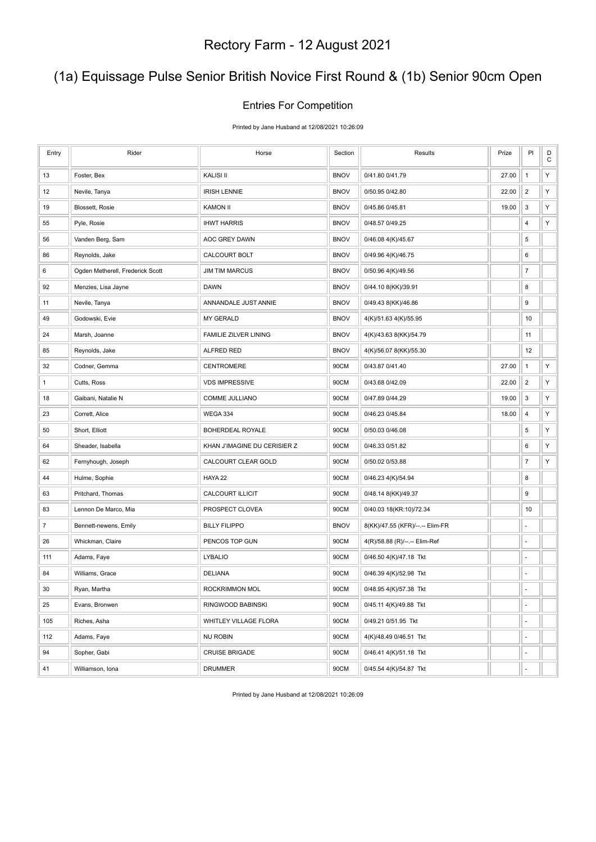# (1a) Equissage Pulse Senior British Novice First Round & (1b) Senior 90cm Open

#### Entries For Competition

Printed by Jane Husband at 12/08/2021 10:26:09

| Entry          | Rider                            | Horse                        | Section     | Results                         | Prize | PI                       | D<br>$\mathsf C$ |
|----------------|----------------------------------|------------------------------|-------------|---------------------------------|-------|--------------------------|------------------|
| 13             | Foster, Bex                      | <b>KALISI II</b>             | <b>BNOV</b> | 0/41.80 0/41.79                 | 27.00 | $\mathbf{1}$             | Y                |
| 12             | Nevile, Tanya                    | <b>IRISH LENNIE</b>          | <b>BNOV</b> | 0/50.95 0/42.80                 | 22.00 | $\overline{2}$           | Υ                |
| 19             | Blossett, Rosie                  | <b>KAMON II</b>              | <b>BNOV</b> | 0/45.86 0/45.81                 | 19.00 | 3                        | Υ                |
| 55             | Pyle, Rosie                      | <b>IHWT HARRIS</b>           | <b>BNOV</b> | 0/48.57 0/49.25                 |       | 4                        | Υ                |
| 56             | Vanden Berg, Sam                 | AOC GREY DAWN                | <b>BNOV</b> | 0/46.08 4(K)/45.67              |       | 5                        |                  |
| 86             | Reynolds, Jake                   | CALCOURT BOLT                | <b>BNOV</b> | 0/49.96 4(K)/46.75              |       | 6                        |                  |
| 6              | Ogden Metherell, Frederick Scott | <b>JIM TIM MARCUS</b>        | <b>BNOV</b> | 0/50.96 4(K)/49.56              |       | $\boldsymbol{7}$         |                  |
| 92             | Menzies, Lisa Jayne              | <b>DAWN</b>                  | <b>BNOV</b> | 0/44.10 8(KK)/39.91             |       | 8                        |                  |
| 11             | Nevile, Tanya                    | ANNANDALE JUST ANNIE         | <b>BNOV</b> | 0/49.43 8(KK)/46.86             |       | 9                        |                  |
| 49             | Godowski, Evie                   | <b>MY GERALD</b>             | <b>BNOV</b> | 4(K)/51.63 4(K)/55.95           |       | 10                       |                  |
| 24             | Marsh, Joanne                    | <b>FAMILIE ZILVER LINING</b> | <b>BNOV</b> | 4(K)/43.63 8(KK)/54.79          |       | 11                       |                  |
| 85             | Reynolds, Jake                   | ALFRED RED                   | <b>BNOV</b> | 4(K)/56.07 8(KK)/55.30          |       | 12                       |                  |
| 32             | Codner, Gemma                    | <b>CENTROMERE</b>            | 90CM        | 0/43.87 0/41.40                 | 27.00 | $\mathbf{1}$             | Y                |
| 1              | Cutts, Ross                      | <b>VDS IMPRESSIVE</b>        | 90CM        | 0/43.68 0/42.09                 | 22.00 | $\overline{2}$           | Y                |
| 18             | Gaibani, Natalie N               | COMME JULLIANO               | 90CM        | 0/47.89 0/44.29                 | 19.00 | 3                        | Υ                |
| 23             | Corrett, Alice                   | <b>WEGA 334</b>              | 90CM        | 0/46.23 0/45.84                 | 18.00 | $\overline{\mathbf{4}}$  | Υ                |
| 50             | Short, Elliott                   | BOHERDEAL ROYALE             | 90CM        | 0/50.03 0/46.08                 |       | 5                        | Υ                |
| 64             | Sheader, Isabella                | KHAN J'IMAGINE DU CERISIER Z | 90CM        | 0/46.33 0/51.82                 |       | 6                        | Υ                |
| 62             | Fernyhough, Joseph               | CALCOURT CLEAR GOLD          | 90CM        | 0/50.02 0/53.88                 |       | $\boldsymbol{7}$         | Υ                |
| 44             | Hulme, Sophie                    | HAYA 22                      | 90CM        | 0/46.23 4(K)/54.94              |       | 8                        |                  |
| 63             | Pritchard, Thomas                | <b>CALCOURT ILLICIT</b>      | 90CM        | 0/48.14 8(KK)/49.37             |       | 9                        |                  |
| 83             | Lennon De Marco, Mia             | PROSPECT CLOVEA              | 90CM        | 0/40.03 18(KR:10)/72.34         |       | 10                       |                  |
| $\overline{7}$ | Bennett-newens, Emily            | <b>BILLY FILIPPO</b>         | <b>BNOV</b> | 8(KK)/47.55 (KFR)/--.-- Elim-FR |       | ÷,                       |                  |
| 26             | Whickman, Claire                 | PENCOS TOP GUN               | 90CM        | 4(R)/58.88 (R)/--.-- Elim-Ref   |       | ÷                        |                  |
| 111            | Adams, Faye                      | <b>LYBALIO</b>               | 90CM        | 0/46.50 4(K)/47.18 Tkt          |       | ä,                       |                  |
| 84             | Williams, Grace                  | <b>DELIANA</b>               | 90CM        | 0/46.39 4(K)/52.98 Tkt          |       |                          |                  |
| 30             | Ryan, Martha                     | ROCKRIMMON MOL               | 90CM        | 0/48.95 4(K)/57.38 Tkt          |       | ä,                       |                  |
| 25             | Evans, Bronwen                   | RINGWOOD BABINSKI            | 90CM        | 0/45.11 4(K)/49.88 Tkt          |       | ÷                        |                  |
| 105            | Riches, Asha                     | WHITLEY VILLAGE FLORA        | 90CM        | 0/49.21 0/51.95 Tkt             |       | ÷,                       |                  |
| 112            | Adams, Faye                      | <b>NU ROBIN</b>              | 90CM        | 4(K)/48.49 0/46.51 Tkt          |       | ÷,                       |                  |
| 94             | Sopher, Gabi                     | <b>CRUISE BRIGADE</b>        | 90CM        | 0/46.41 4(K)/51.18 Tkt          |       | $\overline{\phantom{a}}$ |                  |
| 41             | Williamson, Iona                 | <b>DRUMMER</b>               | 90CM        | 0/45.54 4(K)/54.87 Tkt          |       | ÷,                       |                  |

Printed by Jane Husband at 12/08/2021 10:26:09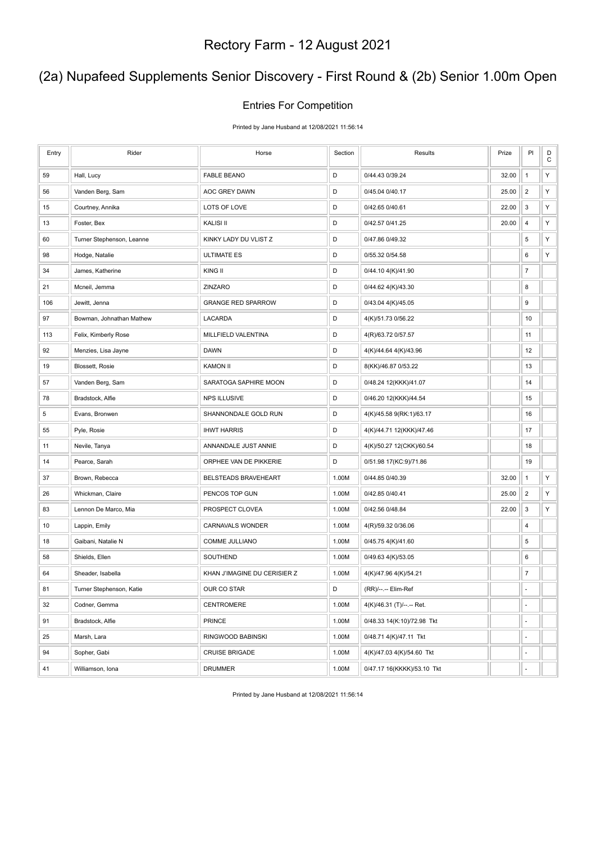### (2a) Nupafeed Supplements Senior Discovery - First Round & (2b) Senior 1.00m Open

#### Entries For Competition

Printed by Jane Husband at 12/08/2021 11:56:14

| Entry | Rider                     | Horse                        | Section | Results                    | Prize | PI                        | D<br>$\mathbf C$ |
|-------|---------------------------|------------------------------|---------|----------------------------|-------|---------------------------|------------------|
| 59    | Hall, Lucy                | <b>FABLE BEANO</b>           | D       | 0/44.43 0/39.24            | 32.00 | $\mathbf{1}$              | Y                |
| 56    | Vanden Berg, Sam          | AOC GREY DAWN                | D       | 0/45.04 0/40.17            | 25.00 | $\overline{2}$            | Υ                |
| 15    | Courtney, Annika          | LOTS OF LOVE                 | D       | 0/42.65 0/40.61            | 22.00 | 3                         | Υ                |
| 13    | Foster, Bex               | <b>KALISI II</b>             | D       | 0/42.57 0/41.25            | 20.00 | $\overline{4}$            | Υ                |
| 60    | Turner Stephenson, Leanne | KINKY LADY DU VLIST Z        | D       | 0/47.86 0/49.32            |       | 5                         | Υ                |
| 98    | Hodge, Natalie            | <b>ULTIMATE ES</b>           | D       | 0/55.32 0/54.58            |       | 6                         | Υ                |
| 34    | James, Katherine          | KING II                      | D       | 0/44.10 4(K)/41.90         |       | $\overline{7}$            |                  |
| 21    | Mcneil, Jemma             | ZINZARO                      | D       | 0/44.62 4(K)/43.30         |       | 8                         |                  |
| 106   | Jewitt, Jenna             | <b>GRANGE RED SPARROW</b>    | D       | 0/43.04 4(K)/45.05         |       | 9                         |                  |
| 97    | Bowman, Johnathan Mathew  | LACARDA                      | D       | 4(K)/51.73 0/56.22         |       | 10                        |                  |
| 113   | Felix, Kimberly Rose      | MILLFIELD VALENTINA          | D       | 4(R)/63.72 0/57.57         |       | 11                        |                  |
| 92    | Menzies, Lisa Jayne       | <b>DAWN</b>                  | D       | 4(K)/44.64 4(K)/43.96      |       | 12                        |                  |
| 19    | Blossett, Rosie           | <b>KAMON II</b>              | D       | 8(KK)/46.87 0/53.22        |       | 13                        |                  |
| 57    | Vanden Berg, Sam          | SARATOGA SAPHIRE MOON        | D       | 0/48.24 12(KKK)/41.07      |       | 14                        |                  |
| 78    | Bradstock, Alfie          | <b>NPS ILLUSIVE</b>          | D       | 0/46.20 12(KKK)/44.54      |       | 15                        |                  |
| 5     | Evans, Bronwen            | SHANNONDALE GOLD RUN         | D       | 4(K)/45.58 9(RK:1)/63.17   |       | 16                        |                  |
| 55    | Pyle, Rosie               | <b>IHWT HARRIS</b>           | D       | 4(K)/44.71 12(KKK)/47.46   |       | 17                        |                  |
| 11    | Nevile, Tanya             | ANNANDALE JUST ANNIE         | D       | 4(K)/50.27 12(CKK)/60.54   |       | 18                        |                  |
| 14    | Pearce, Sarah             | ORPHEE VAN DE PIKKERIE       | D       | 0/51.98 17(KC:9)/71.86     |       | 19                        |                  |
| 37    | Brown, Rebecca            | BELSTEADS BRAVEHEART         | 1.00M   | 0/44.85 0/40.39            | 32.00 | $\mathbf{1}$              | Υ                |
| 26    | Whickman, Claire          | PENCOS TOP GUN               | 1.00M   | 0/42.85 0/40.41            | 25.00 | $\overline{2}$            | Υ                |
| 83    | Lennon De Marco, Mia      | PROSPECT CLOVEA              | 1.00M   | 0/42.56 0/48.84            | 22.00 | $\ensuremath{\mathsf{3}}$ | Υ                |
| 10    | Lappin, Emily             | <b>CARNAVALS WONDER</b>      | 1.00M   | 4(R)/59.32 0/36.06         |       | 4                         |                  |
| 18    | Gaibani, Natalie N        | COMME JULLIANO               | 1.00M   | 0/45.75 4(K)/41.60         |       | 5                         |                  |
| 58    | Shields, Ellen            | SOUTHEND                     | 1.00M   | 0/49.63 4(K)/53.05         |       | 6                         |                  |
| 64    | Sheader, Isabella         | KHAN J'IMAGINE DU CERISIER Z | 1.00M   | 4(K)/47.96 4(K)/54.21      |       | $\boldsymbol{7}$          |                  |
| 81    | Turner Stephenson, Katie  | <b>OUR CO STAR</b>           | D       | (RR)/--.-- Elim-Ref        |       | ä,                        |                  |
| 32    | Codner, Gemma             | CENTROMERE                   | 1.00M   | 4(K)/46.31 (T)/--.-- Ret.  |       | $\blacksquare$            |                  |
| 91    | Bradstock, Alfie          | <b>PRINCE</b>                | 1.00M   | 0/48.33 14(K:10)/72.98 Tkt |       | ä,                        |                  |
| 25    | Marsh, Lara               | RINGWOOD BABINSKI            | 1.00M   | 0/48.71 4(K)/47.11 Tkt     |       | ÷,                        |                  |
| 94    | Sopher, Gabi              | <b>CRUISE BRIGADE</b>        | 1.00M   | 4(K)/47.03 4(K)/54.60 Tkt  |       | ÷,                        |                  |
| 41    | Williamson, Iona          | <b>DRUMMER</b>               | 1.00M   | 0/47.17 16(KKKK)/53.10 Tkt |       | ä,                        |                  |

Printed by Jane Husband at 12/08/2021 11:56:14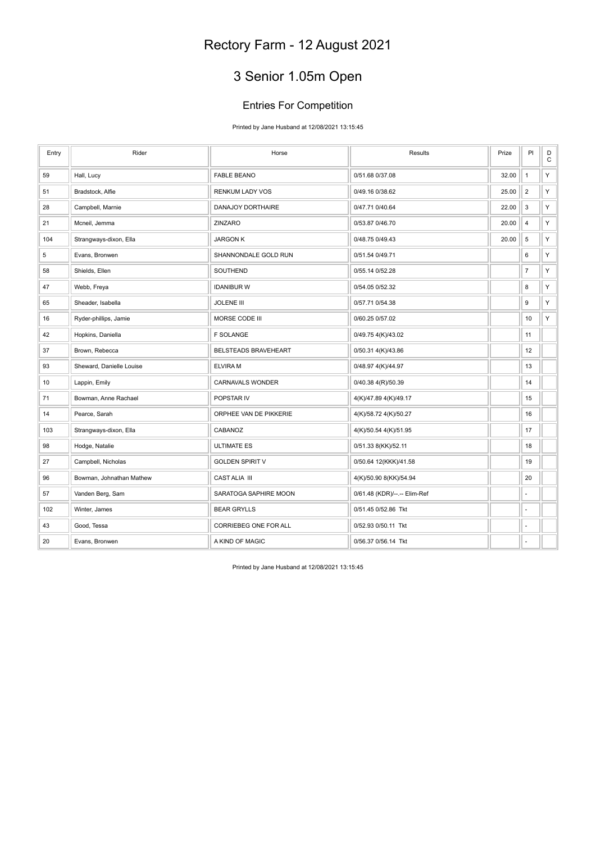# 3 Senior 1.05m Open

#### Entries For Competition

Printed by Jane Husband at 12/08/2021 13:15:45

| Entry       | Rider                    | Horse                  | Results                      | Prize | PI             | $\mathsf D$<br>$\mathbf C$ |
|-------------|--------------------------|------------------------|------------------------------|-------|----------------|----------------------------|
| 59          | Hall, Lucy               | <b>FABLE BEANO</b>     | 0/51.68 0/37.08              | 32.00 | $\mathbf{1}$   | Υ                          |
| 51          | Bradstock, Alfie         | <b>RENKUM LADY VOS</b> | 0/49.16 0/38.62              | 25.00 | $\overline{2}$ | Υ                          |
| 28          | Campbell, Marnie         | DANAJOY DORTHAIRE      | 0/47.71 0/40.64              | 22.00 | $\mathbf{3}$   | Y                          |
| 21          | Mcneil, Jemma            | ZINZARO                | 0/53.87 0/46.70              | 20.00 | $\overline{4}$ | Υ                          |
| 104         | Strangways-dixon, Ella   | <b>JARGON K</b>        | 0/48.75 0/49.43              | 20.00 | 5              | Υ                          |
| $\,$ 5 $\,$ | Evans, Bronwen           | SHANNONDALE GOLD RUN   | 0/51.54 0/49.71              |       | 6              | Υ                          |
| 58          | Shields, Ellen           | SOUTHEND               | 0/55.14 0/52.28              |       | $\overline{7}$ | Y                          |
| 47          | Webb, Freya              | <b>IDANIBUR W</b>      | 0/54.05 0/52.32              |       | 8              | Υ                          |
| 65          | Sheader, Isabella        | <b>JOLENE III</b>      | 0/57.71 0/54.38              |       | 9              | Υ                          |
| 16          | Ryder-phillips, Jamie    | MORSE CODE III         | 0/60.25 0/57.02              |       | 10             | Υ                          |
| 42          | Hopkins, Daniella        | <b>F SOLANGE</b>       | 0/49.75 4(K)/43.02           |       | 11             |                            |
| 37          | Brown, Rebecca           | BELSTEADS BRAVEHEART   | 0/50.31 4(K)/43.86           |       | 12             |                            |
| 93          | Sheward, Danielle Louise | <b>ELVIRAM</b>         | 0/48.97 4(K)/44.97           |       | 13             |                            |
| 10          | Lappin, Emily            | CARNAVALS WONDER       | 0/40.38 4(R)/50.39           |       | 14             |                            |
| 71          | Bowman, Anne Rachael     | POPSTAR IV             | 4(K)/47.89 4(K)/49.17        |       | 15             |                            |
| 14          | Pearce, Sarah            | ORPHEE VAN DE PIKKERIE | 4(K)/58.72 4(K)/50.27        |       | 16             |                            |
| 103         | Strangways-dixon, Ella   | CABANOZ                | 4(K)/50.54 4(K)/51.95        |       | 17             |                            |
| 98          | Hodge, Natalie           | <b>ULTIMATE ES</b>     | 0/51.33 8(KK)/52.11          |       | 18             |                            |
| 27          | Campbell, Nicholas       | <b>GOLDEN SPIRIT V</b> | 0/50.64 12(KKK)/41.58        |       | 19             |                            |
| 96          | Bowman, Johnathan Mathew | CAST ALIA III          | 4(K)/50.90 8(KK)/54.94       |       | 20             |                            |
| 57          | Vanden Berg, Sam         | SARATOGA SAPHIRE MOON  | 0/61.48 (KDR)/--.-- Elim-Ref |       | ä,             |                            |
| 102         | Winter, James            | <b>BEAR GRYLLS</b>     | 0/51.45 0/52.86 Tkt          |       | ä,             |                            |
| 43          | Good, Tessa              | CORRIEBEG ONE FOR ALL  | 0/52.93 0/50.11 Tkt          |       | ä,             |                            |
| 20          | Evans, Bronwen           | A KIND OF MAGIC        | 0/56.37 0/56.14 Tkt          |       |                |                            |

Printed by Jane Husband at 12/08/2021 13:15:45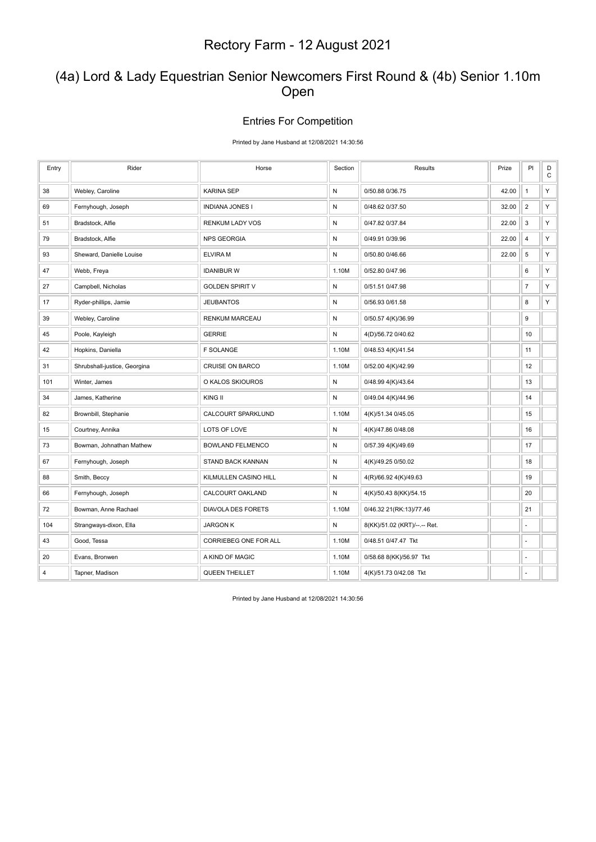#### (4a) Lord & Lady Equestrian Senior Newcomers First Round & (4b) Senior 1.10m Open

#### Entries For Competition

Printed by Jane Husband at 12/08/2021 14:30:56

| Entry | Rider                        | Horse                     | Section      | Results                      | Prize | PI             | $_{\rm C}^{\rm D}$ |
|-------|------------------------------|---------------------------|--------------|------------------------------|-------|----------------|--------------------|
| 38    | Webley, Caroline             | <b>KARINA SEP</b>         | $\mathsf{N}$ | 0/50.88 0/36.75              | 42.00 | $\mathbf{1}$   | Υ                  |
| 69    | Fernyhough, Joseph           | <b>INDIANA JONES I</b>    | N            | 0/48.62 0/37.50              | 32.00 | $\overline{c}$ | Υ                  |
| 51    | Bradstock, Alfie             | RENKUM LADY VOS           | ${\sf N}$    | 0/47.82 0/37.84              | 22.00 | 3              | Υ                  |
| 79    | Bradstock, Alfie             | <b>NPS GEORGIA</b>        | ${\sf N}$    | 0/49.91 0/39.96              | 22.00 | $\overline{4}$ | Υ                  |
| 93    | Sheward, Danielle Louise     | <b>ELVIRA M</b>           | $\mathsf{N}$ | 0/50.80 0/46.66              | 22.00 | 5              | Υ                  |
| 47    | Webb, Freya                  | <b>IDANIBUR W</b>         | 1.10M        | 0/52.80 0/47.96              |       | 6              | Υ                  |
| 27    | Campbell, Nicholas           | <b>GOLDEN SPIRIT V</b>    | ${\sf N}$    | 0/51.51 0/47.98              |       | $\overline{7}$ | Υ                  |
| 17    | Ryder-phillips, Jamie        | <b>JEUBANTOS</b>          | ${\sf N}$    | 0/56.93 0/61.58              |       | 8              | Υ                  |
| 39    | Webley, Caroline             | <b>RENKUM MARCEAU</b>     | ${\sf N}$    | 0/50.57 4(K)/36.99           |       | 9              |                    |
| 45    | Poole, Kayleigh              | <b>GERRIE</b>             | N            | 4(D)/56.72 0/40.62           |       | 10             |                    |
| 42    | Hopkins, Daniella            | <b>F SOLANGE</b>          | 1.10M        | 0/48.53 4(K)/41.54           |       | 11             |                    |
| 31    | Shrubshall-justice, Georgina | <b>CRUISE ON BARCO</b>    | 1.10M        | 0/52.00 4(K)/42.99           |       | 12             |                    |
| 101   | Winter, James                | O KALOS SKIOUROS          | ${\sf N}$    | 0/48.99 4(K)/43.64           |       | 13             |                    |
| 34    | James, Katherine             | KING II                   | ${\sf N}$    | 0/49.04 4(K)/44.96           |       | 14             |                    |
| 82    | Brownbill, Stephanie         | CALCOURT SPARKLUND        | 1.10M        | 4(K)/51.34 0/45.05           |       | 15             |                    |
| 15    | Courtney, Annika             | LOTS OF LOVE              | N            | 4(K)/47.86 0/48.08           |       | 16             |                    |
| 73    | Bowman, Johnathan Mathew     | <b>BOWLAND FELMENCO</b>   | $\mathsf{N}$ | 0/57.39 4(K)/49.69           |       | 17             |                    |
| 67    | Fernyhough, Joseph           | <b>STAND BACK KANNAN</b>  | ${\sf N}$    | 4(K)/49.25 0/50.02           |       | 18             |                    |
| 88    | Smith, Beccy                 | KILMULLEN CASINO HILL     | ${\sf N}$    | 4(R)/66.92 4(K)/49.63        |       | 19             |                    |
| 66    | Fernyhough, Joseph           | CALCOURT OAKLAND          | ${\sf N}$    | 4(K)/50.43 8(KK)/54.15       |       | 20             |                    |
| 72    | Bowman, Anne Rachael         | <b>DIAVOLA DES FORETS</b> | 1.10M        | 0/46.32 21(RK:13)/77.46      |       | 21             |                    |
| 104   | Strangways-dixon, Ella       | <b>JARGON K</b>           | N            | 8(KK)/51.02 (KRT)/--.-- Ret. |       | ä,             |                    |
| 43    | Good, Tessa                  | CORRIEBEG ONE FOR ALL     | 1.10M        | 0/48.51 0/47.47 Tkt          |       | ä,             |                    |
| 20    | Evans, Bronwen               | A KIND OF MAGIC           | 1.10M        | 0/58.68 8(KK)/56.97 Tkt      |       | ä,             |                    |
| 4     | Tapner, Madison              | <b>QUEEN THEILLET</b>     | 1.10M        | 4(K)/51.73 0/42.08 Tkt       |       | ä,             |                    |

Printed by Jane Husband at 12/08/2021 14:30:56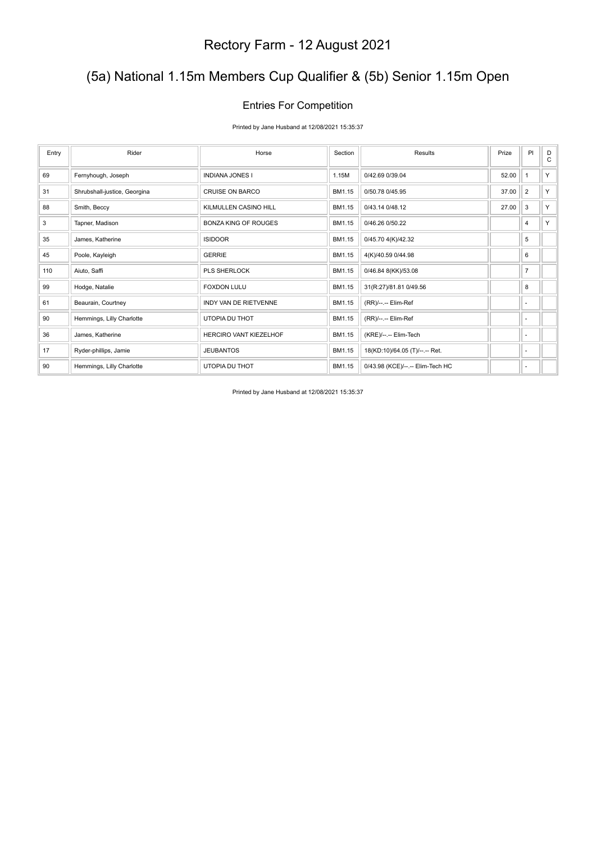# (5a) National 1.15m Members Cup Qualifier & (5b) Senior 1.15m Open

#### Entries For Competition

Printed by Jane Husband at 12/08/2021 15:35:37

| Entry | Rider                        | Horse                        | Section | Results                          | Prize | PI             | D<br>C |
|-------|------------------------------|------------------------------|---------|----------------------------------|-------|----------------|--------|
| 69    | Fernyhough, Joseph           | <b>INDIANA JONES I</b>       | 1.15M   | 0/42.69 0/39.04                  | 52.00 | 1              | Y.     |
| 31    | Shrubshall-justice, Georgina | <b>CRUISE ON BARCO</b>       | BM1.15  | 0/50.78 0/45.95                  | 37.00 | $\overline{2}$ | Y.     |
| 88    | Smith, Beccy                 | KILMULLEN CASINO HILL        | BM1.15  | 0/43.14 0/48.12                  | 27.00 | 3              | Y.     |
| 3     | Tapner, Madison              | <b>BONZA KING OF ROUGES</b>  | BM1.15  | 0/46.26 0/50.22                  |       | 4              | Y.     |
| 35    | James, Katherine             | <b>ISIDOOR</b>               | BM1.15  | 0/45.70 4(K)/42.32               |       | 5              |        |
| 45    | Poole, Kayleigh              | <b>GERRIE</b>                | BM1.15  | 4(K)/40.59 0/44.98               |       | 6              |        |
| 110   | Aiuto, Saffi                 | <b>PLS SHERLOCK</b>          | BM1.15  | 0/46.84 8(KK)/53.08              |       | $\overline{7}$ |        |
| 99    | Hodge, Natalie               | <b>FOXDON LULU</b>           | BM1.15  | 31(R:27)/81.81 0/49.56           |       | 8              |        |
| 61    | Beaurain, Courtney           | <b>INDY VAN DE RIETVENNE</b> | BM1.15  | (RR)/--.-- Elim-Ref              |       | ٠              |        |
| 90    | Hemmings, Lilly Charlotte    | UTOPIA DU THOT               | BM1.15  | (RR)/--.-- Elim-Ref              |       | ٠              |        |
| 36    | James, Katherine             | HERCIRO VANT KIEZELHOF       | BM1.15  | (KRE)/--.-- Elim-Tech            |       | ٠              |        |
| 17    | Ryder-phillips, Jamie        | <b>JEUBANTOS</b>             | BM1.15  | 18(KD:10)/64.05 (T)/--.-- Ret.   |       | ٠              |        |
| 90    | Hemmings, Lilly Charlotte    | UTOPIA DU THOT               | BM1.15  | 0/43.98 (KCE)/--.-- Elim-Tech HC |       | ٠              |        |

Printed by Jane Husband at 12/08/2021 15:35:37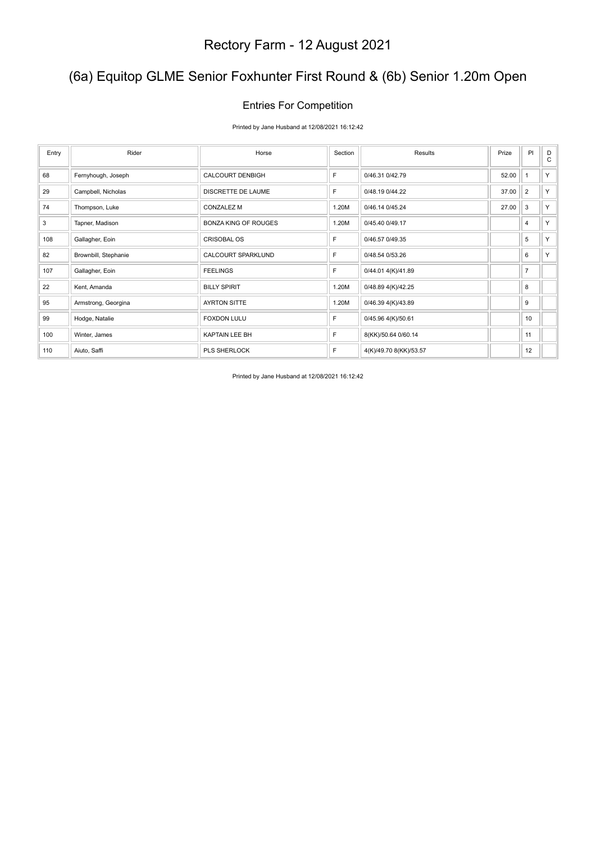# (6a) Equitop GLME Senior Foxhunter First Round & (6b) Senior 1.20m Open

#### Entries For Competition

#### Printed by Jane Husband at 12/08/2021 16:12:42

| Entry | Rider                | Horse                       | Section | Results                | Prize | P <sub>1</sub> | D<br>$\mathsf{C}$ |
|-------|----------------------|-----------------------------|---------|------------------------|-------|----------------|-------------------|
| 68    | Fernyhough, Joseph   | <b>CALCOURT DENBIGH</b>     | F       | 0/46.31 0/42.79        | 52.00 |                | Y                 |
| 29    | Campbell, Nicholas   | <b>DISCRETTE DE LAUME</b>   | F       | 0/48.19 0/44.22        | 37.00 | $\overline{2}$ | Y                 |
| 74    | Thompson, Luke       | <b>CONZALEZ M</b>           | 1.20M   | 0/46.14 0/45.24        | 27.00 | 3              | Y                 |
| 3     | Tapner, Madison      | <b>BONZA KING OF ROUGES</b> | 1.20M   | 0/45.40 0/49.17        |       | 4              | Y                 |
| 108   | Gallagher, Eoin      | <b>CRISOBAL OS</b>          | F       | 0/46.57 0/49.35        |       | 5              | Y.                |
| 82    | Brownbill, Stephanie | <b>CALCOURT SPARKLUND</b>   | F       | 0/48.54 0/53.26        |       | 6              | Y                 |
| 107   | Gallagher, Eoin      | <b>FEELINGS</b>             | F       | 0/44.01 4(K)/41.89     |       | $\overline{7}$ |                   |
| 22    | Kent, Amanda         | <b>BILLY SPIRIT</b>         | 1.20M   | 0/48.89 4(K)/42.25     |       | 8              |                   |
| 95    | Armstrong, Georgina  | <b>AYRTON SITTE</b>         | 1.20M   | 0/46.39 4(K)/43.89     |       | 9              |                   |
| 99    | Hodge, Natalie       | <b>FOXDON LULU</b>          | F       | 0/45.96 4(K)/50.61     |       | 10             |                   |
| 100   | Winter, James        | KAPTAIN LEE BH              | F       | 8(KK)/50.64 0/60.14    |       | 11             |                   |
| 110   | Aiuto, Saffi         | PLS SHERLOCK                | F       | 4(K)/49.70 8(KK)/53.57 |       | 12             |                   |

Printed by Jane Husband at 12/08/2021 16:12:42